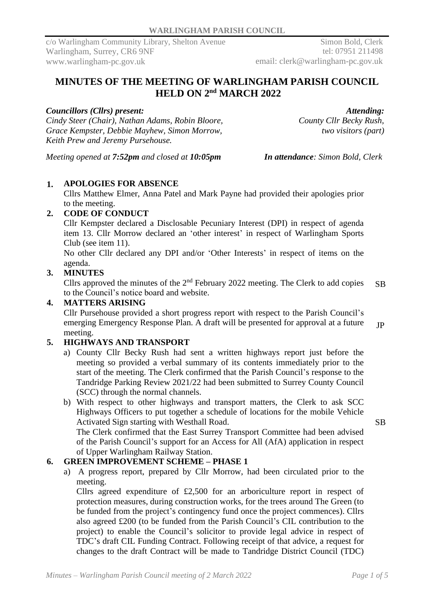Simon Bold, Clerk tel: 07951 211498 email: clerk@warlingham-pc.gov.uk

# **MINUTES OF THE MEETING OF WARLINGHAM PARISH COUNCIL HELD ON**  $2^{\text{nd}}$  **MARCH** 2022

## *Councillors (Cllrs) present:*

*Cindy Steer (Chair), Nathan Adams, Robin Bloore, Grace Kempster, Debbie Mayhew, Simon Morrow, Keith Prew and Jeremy Pursehouse.*

*Attending: County Cllr Becky Rush, two visitors (part)*

*Meeting opened at 7:52pm and closed at 10:05pm In attendance: Simon Bold, Clerk*

# **1. APOLOGIES FOR ABSENCE**

Cllrs Matthew Elmer, Anna Patel and Mark Payne had provided their apologies prior to the meeting.

## **2. CODE OF CONDUCT**

Cllr Kempster declared a Disclosable Pecuniary Interest (DPI) in respect of agenda item 13. Cllr Morrow declared an 'other interest' in respect of Warlingham Sports Club (see item 11).

No other Cllr declared any DPI and/or 'Other Interests' in respect of items on the agenda.

# **3. MINUTES**

Cllrs approved the minutes of the  $2<sup>nd</sup>$  February 2022 meeting. The Clerk to add copies to the Council's notice board and website. SB

## **4. MATTERS ARISING**

Cllr Pursehouse provided a short progress report with respect to the Parish Council's emerging Emergency Response Plan. A draft will be presented for approval at a future meeting. JP

# **5. HIGHWAYS AND TRANSPORT**

- a) County Cllr Becky Rush had sent a written highways report just before the meeting so provided a verbal summary of its contents immediately prior to the start of the meeting. The Clerk confirmed that the Parish Council's response to the Tandridge Parking Review 2021/22 had been submitted to Surrey County Council (SCC) through the normal channels.
- b) With respect to other highways and transport matters, the Clerk to ask SCC Highways Officers to put together a schedule of locations for the mobile Vehicle Activated Sign starting with Westhall Road.

SB

The Clerk confirmed that the East Surrey Transport Committee had been advised of the Parish Council's support for an Access for All (AfA) application in respect of Upper Warlingham Railway Station.

# **6. GREEN IMPROVEMENT SCHEME – PHASE 1**

a) A progress report, prepared by Cllr Morrow, had been circulated prior to the meeting.

Cllrs agreed expenditure of £2,500 for an arboriculture report in respect of protection measures, during construction works, for the trees around The Green (to be funded from the project's contingency fund once the project commences). Cllrs also agreed £200 (to be funded from the Parish Council's CIL contribution to the project) to enable the Council's solicitor to provide legal advice in respect of TDC's draft CIL Funding Contract. Following receipt of that advice, a request for changes to the draft Contract will be made to Tandridge District Council (TDC)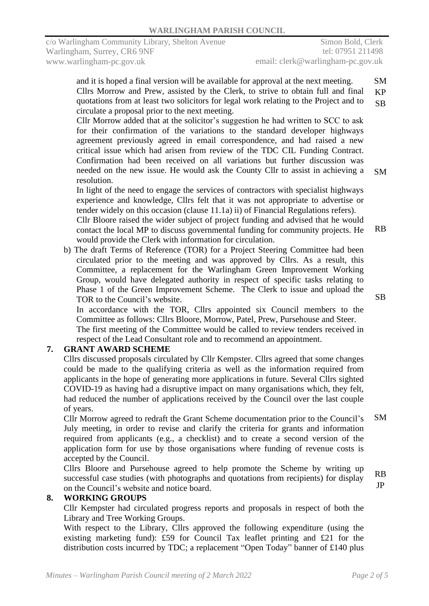and it is hoped a final version will be available for approval at the next meeting. Cllrs Morrow and Prew, assisted by the Clerk, to strive to obtain full and final quotations from at least two solicitors for legal work relating to the Project and to circulate a proposal prior to the next meeting. SM KP SB

 Cllr Morrow added that at the solicitor's suggestion he had written to SCC to ask for their confirmation of the variations to the standard developer highways agreement previously agreed in email correspondence, and had raised a new critical issue which had arisen from review of the TDC CIL Funding Contract. Confirmation had been received on all variations but further discussion was needed on the new issue. He would ask the County Cllr to assist in achieving a resolution. SM

In light of the need to engage the services of contractors with specialist highways experience and knowledge, Cllrs felt that it was not appropriate to advertise or tender widely on this occasion (clause 11.1a) ii) of Financial Regulations refers). Cllr Bloore raised the wider subject of project funding and advised that he would contact the local MP to discuss governmental funding for community projects. He would provide the Clerk with information for circulation. RB

b) The draft Terms of Reference (TOR) for a Project Steering Committee had been circulated prior to the meeting and was approved by Cllrs. As a result, this Committee, a replacement for the Warlingham Green Improvement Working Group, would have delegated authority in respect of specific tasks relating to Phase 1 of the Green Improvement Scheme. The Clerk to issue and upload the TOR to the Council's website.

In accordance with the TOR, Cllrs appointed six Council members to the Committee as follows: Cllrs Bloore, Morrow, Patel, Prew, Pursehouse and Steer. The first meeting of the Committee would be called to review tenders received in respect of the Lead Consultant role and to recommend an appointment.

#### **7. GRANT AWARD SCHEME**

Cllrs discussed proposals circulated by Cllr Kempster. Cllrs agreed that some changes could be made to the qualifying criteria as well as the information required from applicants in the hope of generating more applications in future. Several Cllrs sighted COVID-19 as having had a disruptive impact on many organisations which, they felt, had reduced the number of applications received by the Council over the last couple of years.

Cllr Morrow agreed to redraft the Grant Scheme documentation prior to the Council's July meeting, in order to revise and clarify the criteria for grants and information required from applicants (e.g., a checklist) and to create a second version of the application form for use by those organisations where funding of revenue costs is accepted by the Council. SM

Cllrs Bloore and Pursehouse agreed to help promote the Scheme by writing up successful case studies (with photographs and quotations from recipients) for display on the Council's website and notice board. RB

#### **8. WORKING GROUPS**

Cllr Kempster had circulated progress reports and proposals in respect of both the Library and Tree Working Groups.

With respect to the Library, Cllrs approved the following expenditure (using the existing marketing fund): £59 for Council Tax leaflet printing and £21 for the distribution costs incurred by TDC; a replacement "Open Today" banner of £140 plus SB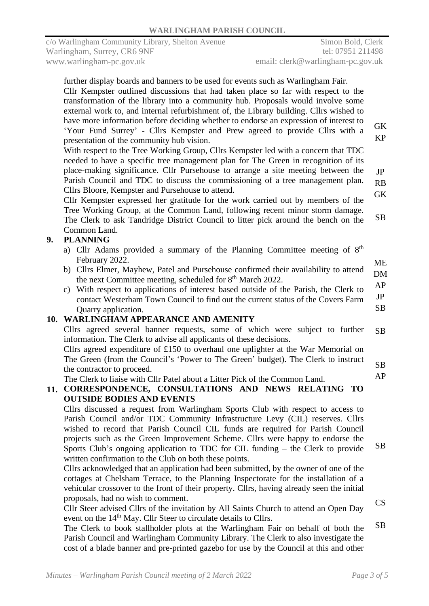|     | further display boards and banners to be used for events such as Warlingham Fair.<br>Cllr Kempster outlined discussions that had taken place so far with respect to the<br>transformation of the library into a community hub. Proposals would involve some<br>external work to, and internal refurbishment of, the Library building. Cllrs wished to<br>have more information before deciding whether to endorse an expression of interest to<br>'Your Fund Surrey' - Cllrs Kempster and Prew agreed to provide Cllrs with a<br>presentation of the community hub vision.<br>With respect to the Tree Working Group, Cllrs Kempster led with a concern that TDC<br>needed to have a specific tree management plan for The Green in recognition of its<br>place-making significance. Cllr Pursehouse to arrange a site meeting between the<br>Parish Council and TDC to discuss the commissioning of a tree management plan.<br>Cllrs Bloore, Kempster and Pursehouse to attend.<br>Cllr Kempster expressed her gratitude for the work carried out by members of the<br>Tree Working Group, at the Common Land, following recent minor storm damage.<br>The Clerk to ask Tandridge District Council to litter pick around the bench on the<br>Common Land. | <b>GK</b><br><b>KP</b><br>JP<br>RB<br><b>GK</b><br>SB |
|-----|------------------------------------------------------------------------------------------------------------------------------------------------------------------------------------------------------------------------------------------------------------------------------------------------------------------------------------------------------------------------------------------------------------------------------------------------------------------------------------------------------------------------------------------------------------------------------------------------------------------------------------------------------------------------------------------------------------------------------------------------------------------------------------------------------------------------------------------------------------------------------------------------------------------------------------------------------------------------------------------------------------------------------------------------------------------------------------------------------------------------------------------------------------------------------------------------------------------------------------------------------------|-------------------------------------------------------|
| 9.  | <b>PLANNING</b>                                                                                                                                                                                                                                                                                                                                                                                                                                                                                                                                                                                                                                                                                                                                                                                                                                                                                                                                                                                                                                                                                                                                                                                                                                            |                                                       |
|     | a) Cllr Adams provided a summary of the Planning Committee meeting of 8 <sup>th</sup><br>February 2022.<br>b) Cllrs Elmer, Mayhew, Patel and Pursehouse confirmed their availability to attend<br>the next Committee meeting, scheduled for 8 <sup>th</sup> March 2022.<br>c) With respect to applications of interest based outside of the Parish, the Clerk to<br>contact Westerham Town Council to find out the current status of the Covers Farm<br>Quarry application.<br>10. WARLINGHAM APPEARANCE AND AMENITY                                                                                                                                                                                                                                                                                                                                                                                                                                                                                                                                                                                                                                                                                                                                       | <b>ME</b><br><b>DM</b><br>AP<br>JP<br><b>SB</b>       |
|     |                                                                                                                                                                                                                                                                                                                                                                                                                                                                                                                                                                                                                                                                                                                                                                                                                                                                                                                                                                                                                                                                                                                                                                                                                                                            |                                                       |
| 11. | Cllrs agreed several banner requests, some of which were subject to further<br>information. The Clerk to advise all applicants of these decisions.<br>Cllrs agreed expenditure of $£150$ to overhaul one uplighter at the War Memorial on<br>The Green (from the Council's 'Power to The Green' budget). The Clerk to instruct<br>the contractor to proceed.<br>The Clerk to liaise with Cllr Patel about a Litter Pick of the Common Land.<br>CORRESPONDENCE, CONSULTATIONS AND NEWS RELATING TO<br><b>OUTSIDE BODIES AND EVENTS</b>                                                                                                                                                                                                                                                                                                                                                                                                                                                                                                                                                                                                                                                                                                                      | SB<br>SB<br>AP                                        |
|     | Cllrs discussed a request from Warlingham Sports Club with respect to access to<br>Parish Council and/or TDC Community Infrastructure Levy (CIL) reserves. Cllrs<br>wished to record that Parish Council CIL funds are required for Parish Council<br>projects such as the Green Improvement Scheme. Cllrs were happy to endorse the<br>Sports Club's ongoing application to TDC for CIL funding – the Clerk to provide<br>written confirmation to the Club on both these points.<br>Cllrs acknowledged that an application had been submitted, by the owner of one of the<br>cottages at Chelsham Terrace, to the Planning Inspectorate for the installation of a<br>vehicular crossover to the front of their property. Cllrs, having already seen the initial<br>proposals, had no wish to comment.<br>Cllr Steer advised Cllrs of the invitation by All Saints Church to attend an Open Day<br>event on the 14 <sup>th</sup> May. Cllr Steer to circulate details to Cllrs.<br>The Clerk to book stallholder plots at the Warlingham Fair on behalf of both the                                                                                                                                                                                        | SB<br>CS<br><b>SB</b>                                 |
|     |                                                                                                                                                                                                                                                                                                                                                                                                                                                                                                                                                                                                                                                                                                                                                                                                                                                                                                                                                                                                                                                                                                                                                                                                                                                            |                                                       |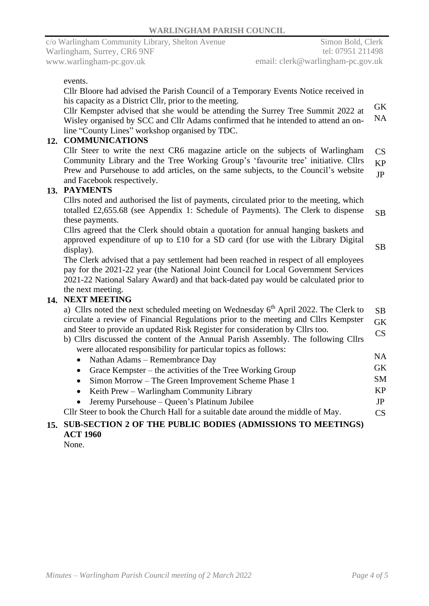#### events.

Cllr Bloore had advised the Parish Council of a Temporary Events Notice received in his capacity as a District Cllr, prior to the meeting.

Cllr Kempster advised that she would be attending the Surrey Tree Summit 2022 at Wisley organised by SCC and Cllr Adams confirmed that he intended to attend an online "County Lines" workshop organised by TDC. GK NA

## **12. COMMUNICATIONS**

Cllr Steer to write the next CR6 magazine article on the subjects of Warlingham Community Library and the Tree Working Group's 'favourite tree' initiative. Cllrs Prew and Pursehouse to add articles, on the same subjects, to the Council's website and Facebook respectively. CS KP JP

#### **13. PAYMENTS**

Cllrs noted and authorised the list of payments, circulated prior to the meeting, which totalled £2,655.68 (see Appendix 1: Schedule of Payments). The Clerk to dispense these payments. SB

Cllrs agreed that the Clerk should obtain a quotation for annual hanging baskets and approved expenditure of up to £10 for a SD card (for use with the Library Digital display).

SB

The Clerk advised that a pay settlement had been reached in respect of all employees pay for the 2021-22 year (the National Joint Council for Local Government Services 2021-22 National Salary Award) and that back-dated pay would be calculated prior to the next meeting.

#### **14. NEXT MEETING**

| a) Cllrs noted the next scheduled meeting on Wednesday $6th$ April 2022. The Clerk to     |           |  |  |  |
|-------------------------------------------------------------------------------------------|-----------|--|--|--|
| circulate a review of Financial Regulations prior to the meeting and Cllrs Kempster<br>GK |           |  |  |  |
| and Steer to provide an updated Risk Register for consideration by Cllrs too.             |           |  |  |  |
| b) Cllrs discussed the content of the Annual Parish Assembly. The following Cllrs         |           |  |  |  |
| were allocated responsibility for particular topics as follows:                           |           |  |  |  |
| • Nathan Adams – Remembrance Day                                                          | <b>NA</b> |  |  |  |
| • Grace Kempster – the activities of the Tree Working Group                               | <b>GK</b> |  |  |  |
| • Simon Morrow – The Green Improvement Scheme Phase 1                                     | <b>SM</b> |  |  |  |
| • Keith Prew – Warlingham Community Library                                               | <b>KP</b> |  |  |  |
| • Jeremy Pursehouse $-\frac{1}{2}$ Platinum Jubilee                                       | JP        |  |  |  |
| Cllr Steer to book the Church Hall for a suitable date around the middle of May.          |           |  |  |  |
| 15. SUB-SECTION 2 OF THE PUBLIC BODIES (ADMISSIONS TO MEETINGS)                           |           |  |  |  |
|                                                                                           |           |  |  |  |

**ACT 1960**

None.